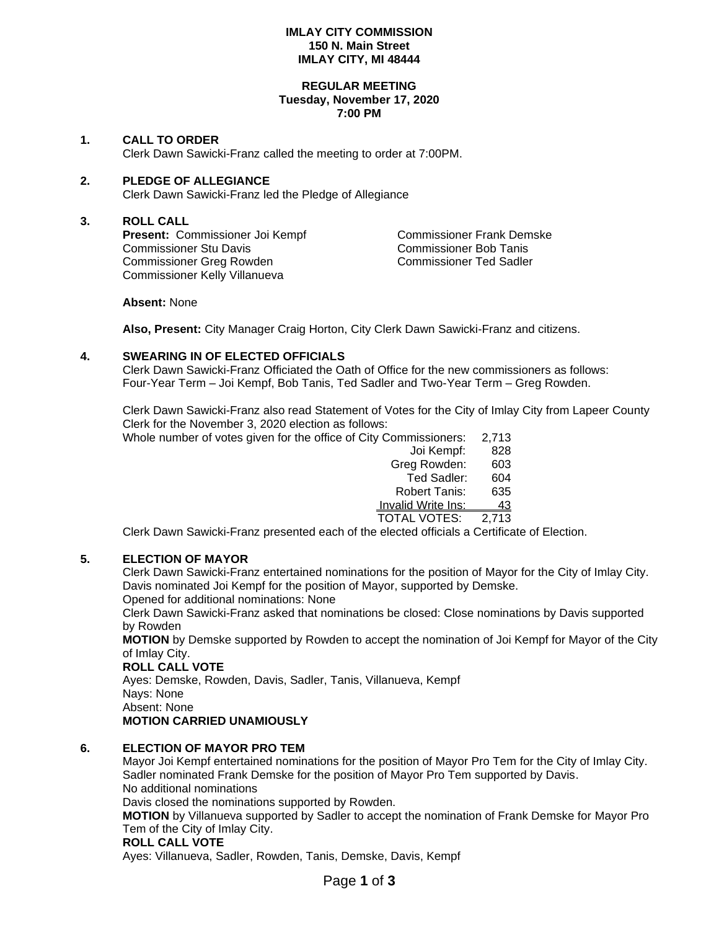## **IMLAY CITY COMMISSION 150 N. Main Street IMLAY CITY, MI 48444**

#### **REGULAR MEETING Tuesday, November 17, 2020 7:00 PM**

## **1. CALL TO ORDER**

Clerk Dawn Sawicki-Franz called the meeting to order at 7:00PM.

## **2. PLEDGE OF ALLEGIANCE**

Clerk Dawn Sawicki-Franz led the Pledge of Allegiance

## **3. ROLL CALL**

Present: Commissioner Joi Kempf Commissioner Frank Demske Commissioner Stu Davis Commissioner Bob Tanis Commissioner Greg Rowden Commissioner Ted Sadler Commissioner Kelly Villanueva

**Absent:** None

**Also, Present:** City Manager Craig Horton, City Clerk Dawn Sawicki-Franz and citizens.

## **4. SWEARING IN OF ELECTED OFFICIALS**

Clerk Dawn Sawicki-Franz Officiated the Oath of Office for the new commissioners as follows: Four-Year Term – Joi Kempf, Bob Tanis, Ted Sadler and Two-Year Term – Greg Rowden.

Clerk Dawn Sawicki-Franz also read Statement of Votes for the City of Imlay City from Lapeer County Clerk for the November 3, 2020 election as follows:

Whole number of votes given for the office of City Commissioners: 2,713 Joi Kempf: 828

| Joi Kempf:                | 828   |
|---------------------------|-------|
| Greg Rowden:              | 603   |
| Ted Sadler:               | 604   |
| Robert Tanis:             | 635   |
| <b>Invalid Write Ins:</b> | 43    |
| <b>TOTAL VOTES:</b>       | 2,713 |

Clerk Dawn Sawicki-Franz presented each of the elected officials a Certificate of Election.

## **5. ELECTION OF MAYOR**

Clerk Dawn Sawicki-Franz entertained nominations for the position of Mayor for the City of Imlay City. Davis nominated Joi Kempf for the position of Mayor, supported by Demske.

Opened for additional nominations: None

Clerk Dawn Sawicki-Franz asked that nominations be closed: Close nominations by Davis supported by Rowden

**MOTION** by Demske supported by Rowden to accept the nomination of Joi Kempf for Mayor of the City of Imlay City.

## **ROLL CALL VOTE**

Ayes: Demske, Rowden, Davis, Sadler, Tanis, Villanueva, Kempf Nays: None Absent: None **MOTION CARRIED UNAMIOUSLY**

## **6. ELECTION OF MAYOR PRO TEM**

Mayor Joi Kempf entertained nominations for the position of Mayor Pro Tem for the City of Imlay City. Sadler nominated Frank Demske for the position of Mayor Pro Tem supported by Davis. No additional nominations

Davis closed the nominations supported by Rowden.

**MOTION** by Villanueva supported by Sadler to accept the nomination of Frank Demske for Mayor Pro Tem of the City of Imlay City.

## **ROLL CALL VOTE**

Ayes: Villanueva, Sadler, Rowden, Tanis, Demske, Davis, Kempf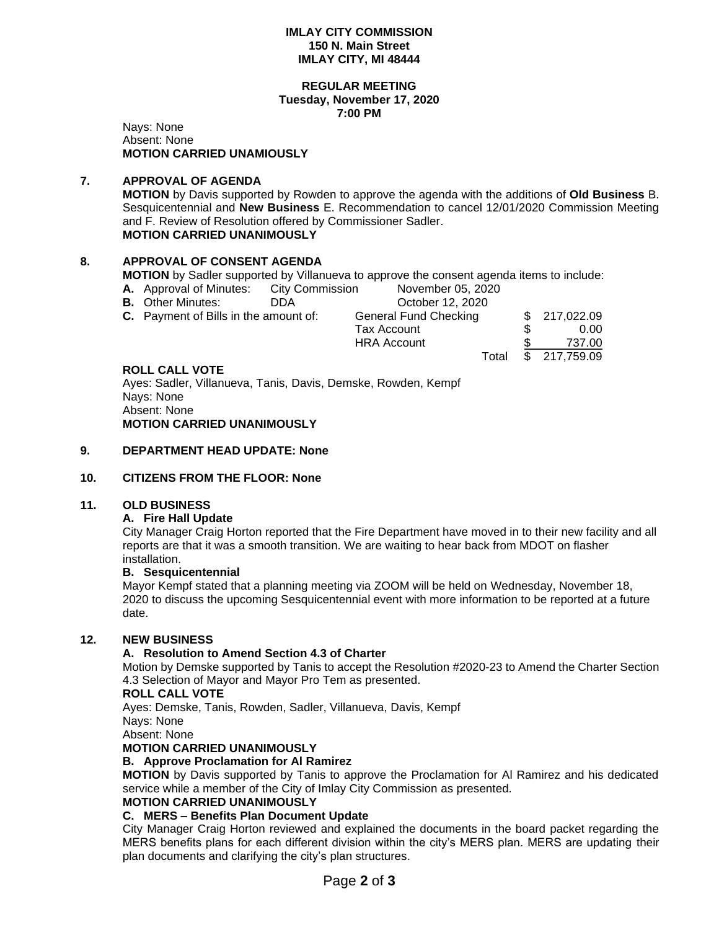#### **IMLAY CITY COMMISSION 150 N. Main Street IMLAY CITY, MI 48444**

#### **REGULAR MEETING Tuesday, November 17, 2020 7:00 PM**

Nays: None Absent: None **MOTION CARRIED UNAMIOUSLY**

# **7. APPROVAL OF AGENDA**

**MOTION** by Davis supported by Rowden to approve the agenda with the additions of **Old Business** B. Sesquicentennial and **New Business** E. Recommendation to cancel 12/01/2020 Commission Meeting and F. Review of Resolution offered by Commissioner Sadler. **MOTION CARRIED UNANIMOUSLY**

## **8. APPROVAL OF CONSENT AGENDA**

**MOTION** by Sadler supported by Villanueva to approve the consent agenda items to include:

- **A.** Approval of Minutes: City Commission November 05, 2020
- **B.** Other Minutes: DDA October 12, 2020

| C. Payment of Bills in the amount of: | General Fund Checking |  | \$217,022.09        |
|---------------------------------------|-----------------------|--|---------------------|
|                                       | Tax Account           |  | 0.00                |
|                                       | <b>HRA Account</b>    |  | 737.00              |
|                                       |                       |  | Total \$ 217,759.09 |

## **ROLL CALL VOTE**

Ayes: Sadler, Villanueva, Tanis, Davis, Demske, Rowden, Kempf Nays: None Absent: None **MOTION CARRIED UNANIMOUSLY**

## **9. DEPARTMENT HEAD UPDATE: None**

## **10. CITIZENS FROM THE FLOOR: None**

## **11. OLD BUSINESS**

## **A. Fire Hall Update**

City Manager Craig Horton reported that the Fire Department have moved in to their new facility and all reports are that it was a smooth transition. We are waiting to hear back from MDOT on flasher installation.

## **B. Sesquicentennial**

Mayor Kempf stated that a planning meeting via ZOOM will be held on Wednesday, November 18, 2020 to discuss the upcoming Sesquicentennial event with more information to be reported at a future date.

## **12. NEW BUSINESS**

## **A. Resolution to Amend Section 4.3 of Charter**

Motion by Demske supported by Tanis to accept the Resolution #2020-23 to Amend the Charter Section 4.3 Selection of Mayor and Mayor Pro Tem as presented.

## **ROLL CALL VOTE**

Ayes: Demske, Tanis, Rowden, Sadler, Villanueva, Davis, Kempf

Nays: None

Absent: None

## **MOTION CARRIED UNANIMOUSLY**

## **B. Approve Proclamation for Al Ramirez**

**MOTION** by Davis supported by Tanis to approve the Proclamation for Al Ramirez and his dedicated service while a member of the City of Imlay City Commission as presented.

# **MOTION CARRIED UNANIMOUSLY**

## **C. MERS – Benefits Plan Document Update**

City Manager Craig Horton reviewed and explained the documents in the board packet regarding the MERS benefits plans for each different division within the city's MERS plan. MERS are updating their plan documents and clarifying the city's plan structures.